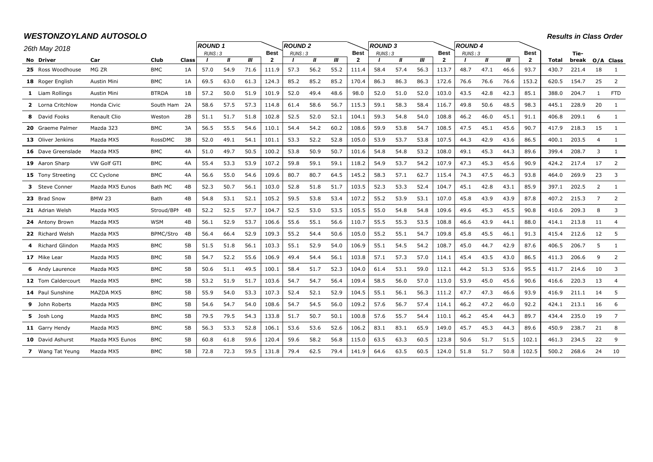# *WESTONZOYLAND AUTOSOLO*

*Results in Class Order*

| 26th May 2018                  |                    |                    |             | <b>ROUND1</b> |              |      |                        | <b>ROUND2</b> |              |      |                               | <b>ROUND 3</b> |              |      |                             | <b>ROUND 4</b> |              |      |                               |                       |                |                |                |
|--------------------------------|--------------------|--------------------|-------------|---------------|--------------|------|------------------------|---------------|--------------|------|-------------------------------|----------------|--------------|------|-----------------------------|----------------|--------------|------|-------------------------------|-----------------------|----------------|----------------|----------------|
|                                |                    |                    |             | RUNS: 3       | $\mathbf{u}$ | Ш    | Best<br>$\overline{2}$ | RUNS: 3       | $\mathbf{u}$ | ‴    | <b>Best</b><br>$\overline{2}$ | RUNS: 3        | $\mathbf{u}$ | Ш    | <b>Best</b><br>$\mathbf{2}$ | RUNS: 3        | $\mathbf{u}$ | Ш    | <b>Best</b><br>$\overline{2}$ |                       | Tie-           |                |                |
| No Driver<br>25 Ross Woodhouse | Car<br>MG ZR       | Club<br><b>BMC</b> | Class<br>1A | 57.0          | 54.9         | 71.6 | 111.9                  | 57.3          | 56.2         | 55.2 | 111.4                         | 58.4           | 57.4         | 56.3 | 113.7                       | 48.7           | 47.1         | 46.6 | 93.7                          | <b>Total</b><br>430.7 | break<br>221.4 | 18             | O/A Class<br>1 |
| 18 Roger English               | Austin Mini        | <b>BMC</b>         | 1A          | 69.5          | 63.0         | 61.3 | 124.3                  | 85.2          | 85.2         | 85.2 | 170.4                         | 86.3           | 86.3         | 86.3 | 172.6                       | 76.6           | 76.6         | 76.6 | 153.2                         | 620.5                 | 154.7          | 25             | 2              |
| 1 Liam Rollings                | Austin Mini        | <b>BTRDA</b>       | 1B          | 57.2          | 50.0         | 51.9 | 101.9                  | 52.0          | 49.4         | 48.6 | 98.0                          | 52.0           | 51.0         | 52.0 | 103.0                       | 43.5           | 42.8         | 42.3 | 85.1                          | 388.0                 | 204.7          | $\overline{1}$ | <b>FTD</b>     |
| 2 Lorna Critchlow              | Honda Civic        | South Ham 2A       |             | 58.6          | 57.5         | 57.3 | 114.8                  | 61.4          | 58.6         | 56.7 | 115.3                         | 59.1           | 58.3         | 58.4 | 116.7                       | 49.8           | 50.6         | 48.5 | 98.3                          | 445.1                 | 228.9          | 20             | $\mathbf{1}$   |
| 8 David Fooks                  | Renault Clio       | Weston             | 2B          | 51.1          | 51.7         | 51.8 | 102.8                  | 52.5          | 52.0         | 52.1 | 104.1                         | 59.3           | 54.8         | 54.0 | 108.8                       | 46.2           | 46.0         | 45.1 | 91.1                          | 406.8                 | 209.1          | 6              | 1              |
| 20 Graeme Palmer               | Mazda 323          | <b>BMC</b>         | 3A          | 56.5          | 55.5         | 54.6 | 110.1                  | 54.4          | 54.2         | 60.2 | 108.6                         | 59.9           | 53.8         | 54.7 | 108.5                       | 47.5           | 45.1         | 45.6 | 90.7                          | 417.9                 | 218.3          | 15             | 1              |
| 13 Oliver Jenkins              | Mazda MX5          | RossDMC            | 3B          | 52.0          | 49.1         | 54.1 | 101.1                  | 53.3          | 52.2         | 52.8 | 105.0                         | 53.9           | 53.7         | 53.8 | 107.5                       | 44.3           | 42.9         | 43.6 | 86.5                          | 400.1                 | 203.5          | $\overline{4}$ | 1              |
| 16 Dave Greenslade             | Mazda MX5          | <b>BMC</b>         | 4A          | 51.0          | 49.7         | 50.5 | 100.2                  | 53.8          | 50.9         | 50.7 | 101.6                         | 54.8           | 54.8         | 53.2 | 108.0                       | 49.1           | 45.3         | 44.3 | 89.6                          | 399.4                 | 208.7          | 3              | 1              |
| 19 Aaron Sharp                 | <b>VW Golf GTI</b> | <b>BMC</b>         | 4A          | 55.4          | 53.3         | 53.9 | 107.2                  | 59.8          | 59.1         | 59.1 | 118.2                         | 54.9           | 53.7         | 54.2 | 107.9                       | 47.3           | 45.3         | 45.6 | 90.9                          | 424.2                 | 217.4          | 17             | 2              |
| 15 Tony Streeting              | CC Cyclone         | <b>BMC</b>         | 4A          | 56.6          | 55.0         | 54.6 | 109.6                  | 80.7          | 80.7         | 64.5 | 145.2                         | 58.3           | 57.1         | 62.7 | 115.4                       | 74.3           | 47.5         | 46.3 | 93.8                          | 464.0                 | 269.9          | 23             | 3              |
| 3 Steve Conner                 | Mazda MX5 Eunos    | Bath MC            | 4B          | 52.3          | 50.7         | 56.1 | 103.0                  | 52.8          | 51.8         | 51.7 | 103.5                         | 52.3           | 53.3         | 52.4 | 104.7                       | 45.1           | 42.8         | 43.1 | 85.9                          | 397.1                 | 202.5          | 2              | $\mathbf{1}$   |
| 23 Brad Snow                   | <b>BMW 23</b>      | Bath               | 4B          | 54.8          | 53.1         | 52.1 | 105.2                  | 59.5          | 53.8         | 53.4 | 107.2                         | 55.2           | 53.9         | 53.1 | 107.0                       | 45.8           | 43.9         | 43.9 | 87.8                          | 407.2                 | 215.3          | $\overline{7}$ | 2              |
| 21 Adrian Welsh                | Mazda MX5          | Stroud/BPI 4B      |             | 52.2          | 52.5         | 57.7 | 104.7                  | 52.5          | 53.0         | 53.5 | 105.5                         | 55.0           | 54.8         | 54.8 | 109.6                       | 49.6           | 45.3         | 45.5 | 90.8                          | 410.6                 | 209.3          | 8              | 3              |
| 24 Antony Brown                | Mazda MX5          | <b>WSM</b>         | 4B          | 56.1          | 52.9         | 53.7 | 106.6                  | 55.6          | 55.1         | 56.6 | 110.7                         | 55.5           | 55.3         | 53.5 | 108.8                       | 46.6           | 43.9         | 44.1 | 88.0                          | 414.1                 | 213.8          | 11             | $\overline{4}$ |
| 22 Richard Welsh               | Mazda MX5          | BPMC/Stro          | -4B         | 56.4          | 66.4         | 52.9 | 109.3                  | 55.2          | 54.4         | 50.6 | 105.0                         | 55.2           | 55.1         | 54.7 | 109.8                       | 45.8           | 45.5         | 46.1 | 91.3                          | 415.4                 | 212.6          | 12             | -5             |
| 4 Richard Glindon              | Mazda MX5          | <b>BMC</b>         | 5B          | 51.5          | 51.8         | 56.1 | 103.3                  | 55.1          | 52.9         | 54.0 | 106.9                         | 55.1           | 54.5         | 54.2 | 108.7                       | 45.0           | 44.7         | 42.9 | 87.6                          | 406.5                 | 206.7          | 5              | 1              |
| 17 Mike Lear                   | Mazda MX5          | <b>BMC</b>         | 5B          | 54.7          | 52.2         | 55.6 | 106.9                  | 49.4          | 54.4         | 56.1 | 103.8                         | 57.1           | 57.3         | 57.0 | 114.1                       | 45.4           | 43.5         | 43.0 | 86.5                          | 411.3                 | 206.6          | 9              | $\overline{2}$ |
| <b>6</b> Andy Laurence         | Mazda MX5          | <b>BMC</b>         | 5B          | 50.6          | 51.1         | 49.5 | 100.1                  | 58.4          | 51.7         | 52.3 | 104.0                         | 61.4           | 53.1         | 59.0 | 112.1                       | 44.2           | 51.3         | 53.6 | 95.5                          | 411.7                 | 214.6          | 10             | 3              |
| 12 Tom Caldercourt             | Mazda MX5          | <b>BMC</b>         | 5B          | 53.2          | 51.9         | 51.7 | 103.6                  | 54.7          | 54.7         | 56.4 | 109.4                         | 58.5           | 56.0         | 57.0 | 113.0                       | 53.9           | 45.0         | 45.6 | 90.6                          | 416.6                 | 220.3          | 13             | -4             |
| 14 Paul Sunshine               | MAZDA MX5          | <b>BMC</b>         | 5 <b>B</b>  | 55.9          | 54.0         | 53.3 | 107.3                  | 52.4          | 52.1         | 52.9 | 104.5                         | 55.1           | 56.1         | 56.3 | 111.2                       | 47.7           | 47.3         | 46.6 | 93.9                          | 416.9                 | 211.1          | 14             | -5             |
| <b>9</b> John Roberts          | Mazda MX5          | <b>BMC</b>         | 5B          | 54.6          | 54.7         | 54.0 | 108.6                  | 54.7          | 54.5         | 56.0 | 109.2                         | 57.6           | 56.7         | 57.4 | 114.1                       | 46.2           | 47.2         | 46.0 | 92.2                          | 424.1                 | 213.1          | 16             | 6              |
| 5 Josh Long                    | Mazda MX5          | <b>BMC</b>         | 5B          | 79.5          | 79.5         | 54.3 | 133.8                  | 51.7          | 50.7         | 50.1 | 100.8                         | 57.6           | 55.7         | 54.4 | 110.1                       | 46.2           | 45.4         | 44.3 | 89.7                          | 434.4                 | 235.0          | 19             | $\overline{7}$ |
| 11 Garry Hendy                 | Mazda MX5          | <b>BMC</b>         | 5B          | 56.3          | 53.3         | 52.8 | 106.1                  | 53.6          | 53.6         | 52.6 | 106.2                         | 83.1           | 83.1         | 65.9 | 149.0                       | 45.7           | 45.3         | 44.3 | 89.6                          | 450.9                 | 238.7          | 21             | 8              |
| <b>10</b> David Ashurst        | Mazda MX5 Eunos    | <b>BMC</b>         | 5 <b>B</b>  | 60.8          | 61.8         | 59.6 | 120.4                  | 59.6          | 58.2         | 56.8 | 115.0                         | 63.5           | 63.3         | 60.5 | 123.8                       | 50.6           | 51.7         | 51.5 | 102.1                         | 461.3                 | 234.5          | 22             | - 9            |
| 7 Wang Tat Yeung               | Mazda MX5          | <b>BMC</b>         | <b>5B</b>   | 72.8          | 72.3         | 59.5 | 131.8                  | 79.4          | 62.5         | 79.4 | 141.9                         | 64.6           | 63.5         | 60.5 | 124.0                       | 51.8           | 51.7         | 50.8 | 102.5                         | 500.2                 | 268.6          | 24             | 10             |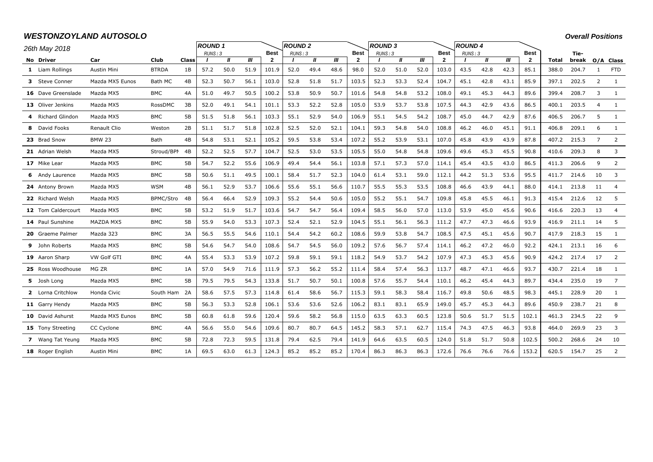# *WESTONZOYLAND AUTOSOLO*

*Overall Positions*

| 26th May 2018            |                 |              |       | <b>ROUND1</b> |              |      |              | <b>ROUND 2</b> |              |      |                | <b>ROUND3</b> |              |      |              | <b>ROUND 4</b> |      |      |              |              |       |                |                |
|--------------------------|-----------------|--------------|-------|---------------|--------------|------|--------------|----------------|--------------|------|----------------|---------------|--------------|------|--------------|----------------|------|------|--------------|--------------|-------|----------------|----------------|
|                          |                 |              |       | RUNS: 3       |              |      | <b>Best</b>  | RUNS: 3        |              |      | <b>Best</b>    | RUNS: 3       |              |      | <b>Best</b>  | RUNS: 3        |      |      | <b>Best</b>  |              | Tie-  |                |                |
| No Driver                | Car             | Club         | Class |               | $\mathbf{u}$ | Ш    | $\mathbf{2}$ |                | $\mathbf{u}$ | ‴    | $\overline{2}$ |               | $\mathbf{u}$ | Ш    | $\mathbf{2}$ |                | Ш    | Ш    | $\mathbf{2}$ | <b>Total</b> | break |                | O/A Class      |
| 1 Liam Rollings          | Austin Mini     | <b>BTRDA</b> | 1B    | 57.2          | 50.0         | 51.9 | 101.9        | 52.0           | 49.4         | 48.6 | 98.0           | 52.0          | 51.0         | 52.0 | 103.0        | 43.5           | 42.8 | 42.3 | 85.1         | 388.0        | 204.7 | -1             | <b>FTD</b>     |
| 3 Steve Conner           | Mazda MX5 Eunos | Bath MC      | 4B    | 52.3          | 50.7         | 56.1 | 103.0        | 52.8           | 51.8         | 51.7 | 103.5          | 52.3          | 53.3         | 52.4 | 104.7        | 45.1           | 42.8 | 43.1 | 85.9         | 397.1        | 202.5 | $\overline{2}$ | 1              |
| 16 Dave Greenslade       | Mazda MX5       | <b>BMC</b>   | 4A    | 51.0          | 49.7         | 50.5 | 100.2        | 53.8           | 50.9         | 50.7 | 101.6          | 54.8          | 54.8         | 53.2 | 108.0        | 49.1           | 45.3 | 44.3 | 89.6         | 399.4        | 208.7 | 3              | 1              |
| 13 Oliver Jenkins        | Mazda MX5       | RossDMC      | 3B    | 52.0          | 49.1         | 54.1 | 101.1        | 53.3           | 52.2         | 52.8 | 105.0          | 53.9          | 53.7         | 53.8 | 107.5        | 44.3           | 42.9 | 43.6 | 86.5         | 400.1        | 203.5 | $\overline{4}$ | 1              |
| 4 Richard Glindon        | Mazda MX5       | BMC          | 5В    | 51.5          | 51.8         | 56.1 | 103.3        | 55.1           | 52.9         | 54.0 | 106.9          | 55.1          | 54.5         | 54.2 | 108.7        | 45.0           | 44.7 | 42.9 | 87.6         | 406.5        | 206.7 | 5              | 1              |
| 8 David Fooks            | Renault Clio    | Weston       | 2B    | 51.1          | 51.7         | 51.8 | 102.8        | 52.5           | 52.0         | 52.1 | 104.1          | 59.3          | 54.8         | 54.0 | 108.8        | 46.2           | 46.0 | 45.1 | 91.1         | 406.8        | 209.1 | 6              | 1              |
| 23 Brad Snow             | <b>BMW 23</b>   | Bath         | 4B    | 54.8          | 53.1         | 52.1 | 105.2        | 59.5           | 53.8         | 53.4 | 107.2          | 55.2          | 53.9         | 53.1 | 107.0        | 45.8           | 43.9 | 43.9 | 87.8         | 407.2        | 215.3 | $\overline{7}$ | 2              |
| 21 Adrian Welsh          | Mazda MX5       | Stroud/BPI   | 4B    | 52.2          | 52.5         | 57.7 | 104.7        | 52.5           | 53.0         | 53.5 | 105.5          | 55.0          | 54.8         | 54.8 | 109.6        | 49.6           | 45.3 | 45.5 | 90.8         | 410.6        | 209.3 | 8              | 3              |
| 17 Mike Lear             | Mazda MX5       | <b>BMC</b>   | 5B    | 54.7          | 52.2         | 55.6 | 106.9        | 49.4           | 54.4         | 56.1 | 103.8          | 57.1          | 57.3         | 57.0 | 114.1        | 45.4           | 43.5 | 43.0 | 86.5         | 411.3        | 206.6 | 9              | 2              |
| <b>6</b> Andy Laurence   | Mazda MX5       | <b>BMC</b>   | 5B    | 50.6          | 51.1         | 49.5 | 100.1        | 58.4           | 51.7         | 52.3 | 104.0          | 61.4          | 53.1         | 59.0 | 112.1        | 44.2           | 51.3 | 53.6 | 95.5         | 411.7        | 214.6 | 10             | 3              |
| 24 Antony Brown          | Mazda MX5       | <b>WSM</b>   | 4B    | 56.1          | 52.9         | 53.7 | 106.6        | 55.6           | 55.1         | 56.6 | 110.7          | 55.5          | 55.3         | 53.5 | 108.8        | 46.6           | 43.9 | 44.1 | 88.0         | 414.1        | 213.8 | 11             | $\overline{4}$ |
| 22 Richard Welsh         | Mazda MX5       | BPMC/Stro    | 4B    | 56.4          | 66.4         | 52.9 | 109.3        | 55.2           | 54.4         | 50.6 | 105.0          | 55.2          | 55.1         | 54.7 | 109.8        | 45.8           | 45.5 | 46.1 | 91.3         | 415.4        | 212.6 | 12             | 5              |
| 12 Tom Caldercourt       | Mazda MX5       | <b>BMC</b>   | 5B    | 53.2          | 51.9         | 51.7 | 103.6        | 54.7           | 54.7         | 56.4 | 109.4          | 58.5          | 56.0         | 57.0 | 113.0        | 53.9           | 45.0 | 45.6 | 90.6         | 416.6        | 220.3 | 13             | $\overline{a}$ |
| 14 Paul Sunshine         | MAZDA MX5       | <b>BMC</b>   | 5B    | 55.9          | 54.0         | 53.3 | 107.3        | 52.4           | 52.1         | 52.9 | 104.5          | 55.1          | 56.1         | 56.3 | 111.2        | 47.7           | 47.3 | 46.6 | 93.9         | 416.9        | 211.1 | 14             | -5             |
| 20 Graeme Palmer         | Mazda 323       | <b>BMC</b>   | 3A    | 56.5          | 55.5         | 54.6 | 110.1        | 54.4           | 54.2         | 60.2 | 108.6          | 59.9          | 53.8         | 54.7 | 108.5        | 47.5           | 45.1 | 45.6 | 90.7         | 417.9        | 218.3 | 15             | 1              |
| 9 John Roberts           | Mazda MX5       | <b>BMC</b>   | 5B    | 54.6          | 54.7         | 54.0 | 108.6        | 54.7           | 54.5         | 56.0 | 109.2          | 57.6          | 56.7         | 57.4 | 114.1        | 46.2           | 47.2 | 46.0 | 92.2         | 424.1        | 213.1 | 16             | 6              |
| 19 Aaron Sharp           | VW Golf GTI     | <b>BMC</b>   | 4A    | 55.4          | 53.3         | 53.9 | 107.2        | 59.8           | 59.1         | 59.1 | 118.2          | 54.9          | 53.7         | 54.2 | 107.9        | 47.3           | 45.3 | 45.6 | 90.9         | 424.2        | 217.4 | 17             | 2              |
| 25 Ross Woodhouse        | MG ZR           | BMC          | 1A    | 57.0          | 54.9         | 71.6 | 111.9        | 57.3           | 56.2         | 55.2 | 111.4          | 58.4          | 57.4         | 56.3 | 113.7        | 48.7           | 47.1 | 46.6 | 93.7         | 430.7        | 221.4 | 18             | 1              |
| 5 Josh Long              | Mazda MX5       | <b>BMC</b>   | 5B    | 79.5          | 79.5         | 54.3 | 133.8        | 51.7           | 50.7         | 50.1 | 100.8          | 57.6          | 55.7         | 54.4 | 110.1        | 46.2           | 45.4 | 44.3 | 89.7         | 434.4        | 235.0 | 19             | 7              |
| 2 Lorna Critchlow        | Honda Civic     | South Ham 2A |       | 58.6          | 57.5         | 57.3 | 114.8        | 61.4           | 58.6         | 56.7 | 115.3          | 59.1          | 58.3         | 58.4 | 116.7        | 49.8           | 50.6 | 48.5 | 98.3         | 445.1        | 228.9 | 20             | 1              |
| 11 Garry Hendy           | Mazda MX5       | <b>BMC</b>   | 5B    | 56.3          | 53.3         | 52.8 | 106.1        | 53.6           | 53.6         | 52.6 | 106.2          | 83.1          | 83.1         | 65.9 | 149.0        | 45.7           | 45.3 | 44.3 | 89.6         | 450.9        | 238.7 | 21             | 8              |
| 10 David Ashurst         | Mazda MX5 Eunos | <b>BMC</b>   | 5В    | 60.8          | 61.8         | 59.6 | 120.4        | 59.6           | 58.2         | 56.8 | 115.0          | 63.5          | 63.3         | 60.5 | 123.8        | 50.6           | 51.7 | 51.5 | 102.1        | 461.3        | 234.5 | 22             | 9              |
| <b>15</b> Tony Streeting | CC Cyclone      | <b>BMC</b>   | 4A    | 56.6          | 55.0         | 54.6 | 109.6        | 80.7           | 80.7         | 64.5 | 145.2          | 58.3          | 57.1         | 62.7 | 115.4        | 74.3           | 47.5 | 46.3 | 93.8         | 464.0        | 269.9 | 23             | 3              |
| 7 Wang Tat Yeung         | Mazda MX5       | BMC          | 5В    | 72.8          | 72.3         | 59.5 | 131.8        | 79.4           | 62.5         | 79.4 | 141.9          | 64.6          | 63.5         | 60.5 | 124.0        | 51.8           | 51.7 | 50.8 | 102.5        | 500.2        | 268.6 | 24             | 10             |
| 18 Roger English         | Austin Mini     | <b>BMC</b>   | 1A    | 69.5          | 63.0         | 61.3 | 124.3        | 85.2           | 85.2         | 85.2 | 170.4          | 86.3          | 86.3         | 86.3 | 172.6        | 76.6           | 76.6 | 76.6 | 153.2        | 620.5        | 154.7 | 25             | 2              |